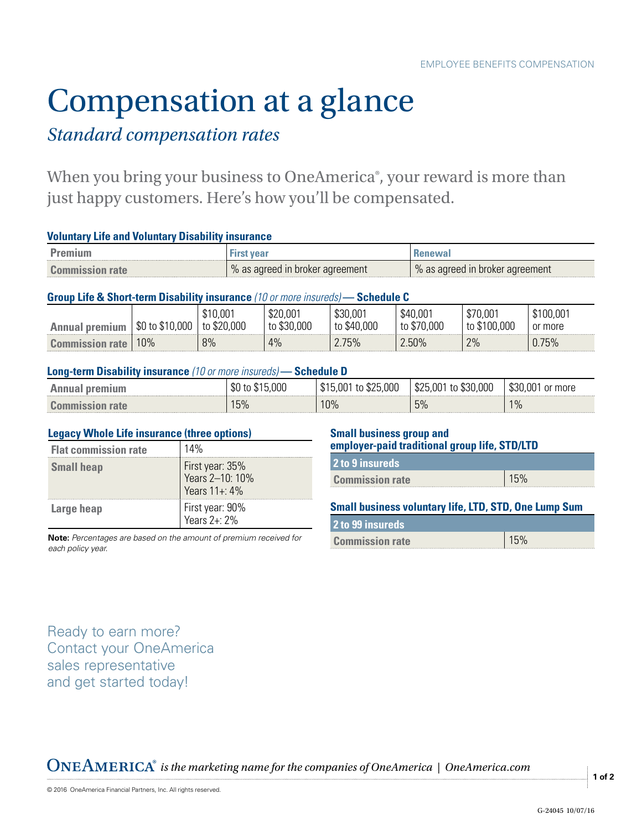# Compensation at a glance

# *Standard compensation rates*

When you bring your business to OneAmerica®, your reward is more than just happy customers. Here's how you'll be compensated.

### **Voluntary Life and Voluntary Disability insurance**

| Commission rafe. | $\%$ as agreed in broker agreement $\%$ | % as agreed in broker agreement |
|------------------|-----------------------------------------|---------------------------------|

#### **Group Life & Short-term Disability insurance** *(10 or more insureds)* **— Schedule C**

| \$0 | ,001<br>000 | 00<br>000   | $.00^{\circ}$<br>000<br>\$4 | ,001<br>∵44س<br>000 | $.00^{\circ}$ | )0,00´<br>more |
|-----|-------------|-------------|-----------------------------|---------------------|---------------|----------------|
| 0%  | 8%          | /0 A<br>4/0 | 2.75%                       | 2.50%               | 2%            | 75%            |

#### **Long-term Disability insurance** *(10 or more insureds)* **— Schedule D**

|                    | 000 | 000,<br>ΩU<br>тг<br>$\Lambda$ | ,000<br>≺ı<br>.DZ | \$30,001<br>or more            |
|--------------------|-----|-------------------------------|-------------------|--------------------------------|
| <b>***********</b> | 15% | 10%                           | 5%                | $\Omega$<br>$\frac{9}{0}$<br>. |

#### **Legacy Whole Life insurance (three options)**

| <b>Flat commission rate</b> | 14%                                                 |
|-----------------------------|-----------------------------------------------------|
| <b>Small heap</b>           | First year: 35%<br>Years 2–10: 10%<br>Years 11+: 4% |
| Large heap                  | First year: 90%<br>Years 2+: 2%                     |

**Note:** *Percentages are based on the amount of premium received for each policy year.*

#### **Small business group and employer-paid traditional group life, STD/LTD**

**2 to 9 insureds**

**Commission rate** 15%

## **Small business voluntary life, LTD, STD, One Lump Sum**

| 2 to 99 insureds       |     |  |
|------------------------|-----|--|
| <b>Commission rate</b> | 15% |  |

Ready to earn more? Contact your OneAmerica sales representative and get started today!

 $\mathbf{ONEAMERICA}^{*}$  is the marketing name for the companies of OneAmerica | OneAmerica.com

**1 of 2**